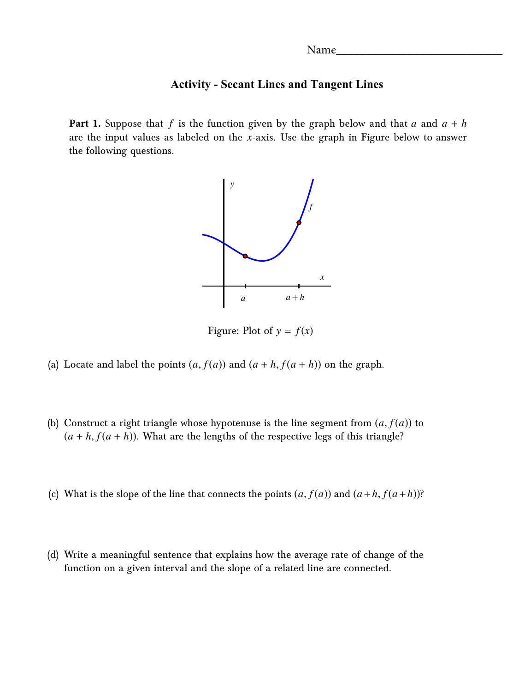## **Activity - Secant Lines and Tangent Lines**

**Part 1.** Suppose that *f* is the function given by the graph below and that *a* and *a* + *h* are the input values as labeled on the *x*-axis. Use the graph in Figure below to answer the following questions.



Figure: Plot of  $y = f(x)$ 

- (a) Locate and label the points  $(a, f(a))$  and  $(a + h, f(a + h))$  on the graph.
- (b) Construct a right triangle whose hypotenuse is the line segment from  $(a, f(a))$  to  $(a + h, f(a + h))$ . What are the lengths of the respective legs of this triangle?
- (c) What is the slope of the line that connects the points  $(a, f(a))$  and  $(a+h, f(a+h))$ ?
- (d) Write a meaningful sentence that explains how the average rate of change of the function on a given interval and the slope of a related line are connected.